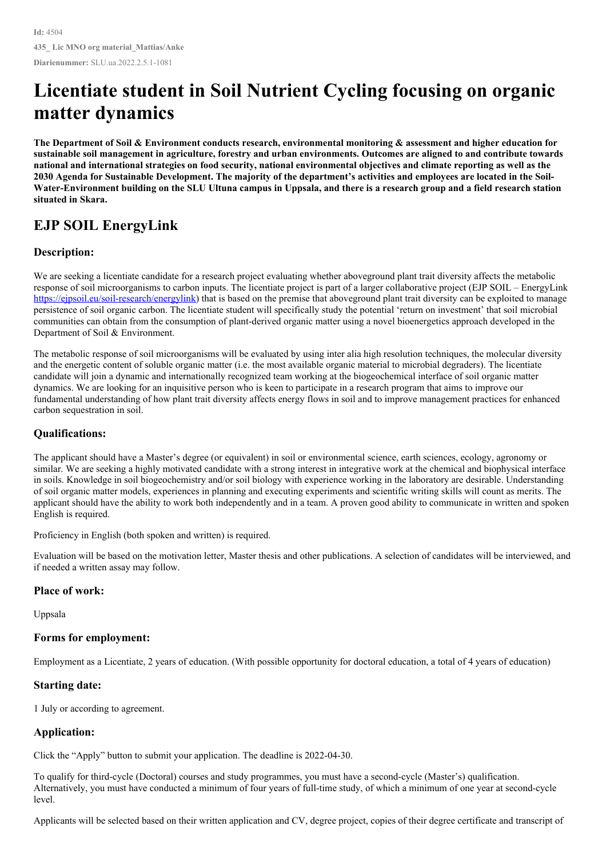# **Licentiate student in Soil Nutrient Cycling focusing on organic matter dynamics**

The Department of Soil & Environment conducts research, environmental monitoring & assessment and higher education for sustainable soil management in agriculture, forestry and urban environments. Outcomes are aligned to and contribute towards national and international strategies on food security, national environmental objectives and climate reporting as well as the 2030 Agenda for Sustainable Development. The majority of the department's activities and employees are located in the Soil-Water-Environment building on the SLU Ultuna campus in Uppsala, and there is a research group and a field research station **situated in Skara.**

## **EJP SOIL EnergyLink**

### **Description:**

We are seeking a licentiate candidate for a research project evaluating whether aboveground plant trait diversity affects the metabolic response of soil microorganisms to carbon inputs. The licentiate project is part of a larger collaborative project (EJP SOIL – EnergyLink <https://ejpsoil.eu/soil-research/energylink>) that is based on the premise that aboveground plant trait diversity can be exploited to manage persistence of soil organic carbon. The licentiate student will specifically study the potential 'return on investment' that soil microbial communities can obtain from the consumption of plant-derived organic matter using a novel bioenergetics approach developed in the Department of Soil & Environment.

The metabolic response of soil microorganisms will be evaluated by using inter alia high resolution techniques, the molecular diversity and the energetic content of soluble organic matter (i.e. the most available organic material to microbial degraders). The licentiate candidate will join a dynamic and internationally recognized team working at the biogeochemical interface of soil organic matter dynamics. We are looking for an inquisitive person who is keen to participate in a research program that aims to improve our fundamental understanding of how plant trait diversity affects energy flows in soil and to improve management practices for enhanced carbon sequestration in soil.

#### **Qualifications:**

The applicant should have a Master's degree (or equivalent) in soil or environmental science, earth sciences, ecology, agronomy or similar. We are seeking a highly motivated candidate with a strong interest in integrative work at the chemical and biophysical interface in soils. Knowledge in soil biogeochemistry and/or soil biology with experience working in the laboratory are desirable. Understanding of soil organic matter models, experiences in planning and executing experiments and scientific writing skills will count as merits. The applicant should have the ability to work both independently and in a team. A proven good ability to communicate in written and spoken English is required.

Proficiency in English (both spoken and written) is required.

Evaluation will be based on the motivation letter, Master thesis and other publications. A selection of candidates will be interviewed, and if needed a written assay may follow.

#### **Place of work:**

Uppsala

#### **Forms for employment:**

Employment as a Licentiate, 2 years of education. (With possible opportunity for doctoral education, a total of 4 years of education)

#### **Starting date:**

1 July or according to agreement.

#### **Application:**

Click the "Apply" button to submit your application. The deadline is 2022-04-30.

To qualify for third-cycle (Doctoral) courses and study programmes, you must have a second-cycle (Master's) qualification. Alternatively, you must have conducted a minimum of four years of full-time study, of which a minimum of one year at second-cycle level.

Applicants will be selected based on their written application and CV, degree project, copies of their degree certificate and transcript of